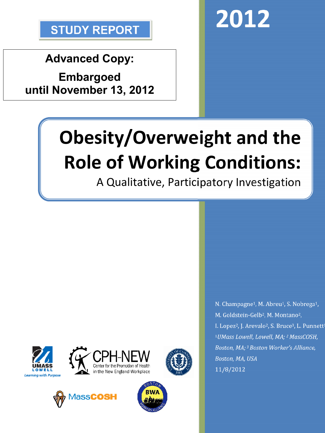

**Advanced Copy:**

**Embargoed until November 13, 2012**



# **Obesity/Overweight and the Role of Working Conditions:**

A Qualitative, Participatory Investigation











N. Champagne<sup>1</sup>, M. Abreu<sup>1</sup>, S. Nobrega<sup>1</sup>, M. Goldstein-Gelb<sup>2</sup>, M. Montano<sup>2</sup>, I. Lopez<sup>2</sup>, J. Arevalo<sup>2</sup>, S. Bruce<sup>3</sup>, L. Punnett<sup>1</sup> <sup>1</sup>*UMass Lowell, Lowell, MA; <sup>2</sup>MassCOSH, Boston, MA; 3Boston Worker's Alliance, Boston, MA, USA* 11/8/2012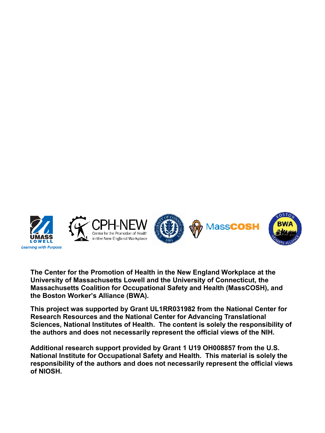

**The Center for the Promotion of Health in the New England Workplace at the University of Massachusetts Lowell and the University of Connecticut, the Massachusetts Coalition for Occupational Safety and Health (MassCOSH), and the Boston Worker's Alliance (BWA).**

**This project was supported by Grant UL1RR031982 from the National Center for Research Resources and the National Center for Advancing Translational Sciences, National Institutes of Health. The content is solely the responsibility of the authors and does not necessarily represent the official views of the NIH.**

**Additional research support provided by Grant 1 U19 OH008857 from the U.S. National Institute for Occupational Safety and Health. This material is solely the responsibility of the authors and does not necessarily represent the official views of NIOSH.**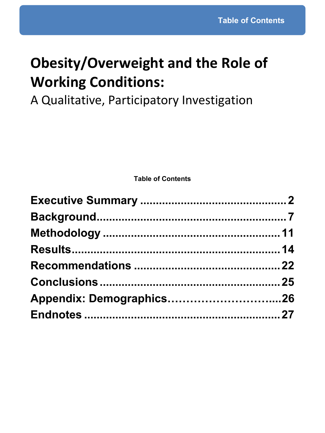# **Obesity/Overweight and the Role of Working Conditions:**

A Qualitative, Participatory Investigation

**Table of Contents**

| Appendix: Demographics26 |  |
|--------------------------|--|
|                          |  |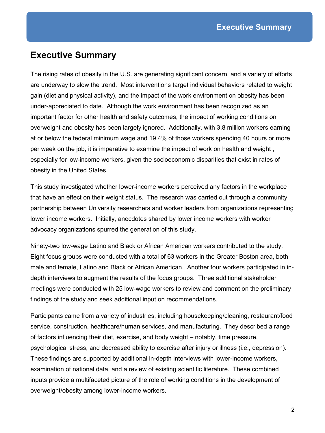# **Executive Summary**

The rising rates of obesity in the U.S. are generating significant concern, and a variety of efforts are underway to slow the trend. Most interventions target individual behaviors related to weight gain (diet and physical activity), and the impact of the work environment on obesity has been under-appreciated to date. Although the work environment has been recognized as an important factor for other health and safety outcomes, the impact of working conditions on overweight and obesity has been largely ignored. Additionally, with 3.8 million workers earning at or below the federal minimum wage and 19.4% of those workers spending 40 hours or more per week on the job, it is imperative to examine the impact of work on health and weight , especially for low-income workers, given the socioeconomic disparities that exist in rates of obesity in the United States.

This study investigated whether lower-income workers perceived any factors in the workplace that have an effect on their weight status. The research was carried out through a community partnership between University researchers and worker leaders from organizations representing lower income workers. Initially, anecdotes shared by lower income workers with worker advocacy organizations spurred the generation of this study.

Ninety-two low-wage Latino and Black or African American workers contributed to the study. Eight focus groups were conducted with a total of 63 workers in the Greater Boston area, both male and female, Latino and Black or African American. Another four workers participated in indepth interviews to augment the results of the focus groups. Three additional stakeholder meetings were conducted with 25 low-wage workers to review and comment on the preliminary findings of the study and seek additional input on recommendations.

Participants came from a variety of industries, including housekeeping/cleaning, restaurant/food service, construction, healthcare/human services, and manufacturing. They described a range of factors influencing their diet, exercise, and body weight – notably, time pressure, psychological stress, and decreased ability to exercise after injury or illness (i.e., depression). These findings are supported by additional in-depth interviews with lower-income workers, examination of national data, and a review of existing scientific literature. These combined inputs provide a multifaceted picture of the role of working conditions in the development of overweight/obesity among lower-income workers.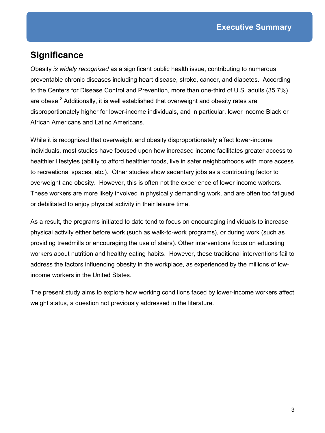# **Significance**

Obesity *is widely recognized* as a significant public health issue, contributing to numerous preventable chronic diseases including heart disease, stroke, cancer, and diabetes. According to the Centers for Disease Control and Prevention, more than one-third of U.S. adults (35.7%) are obese.<sup>2</sup> Additionally, it is well established that overweight and obesity rates are disproportionately higher for lower-income individuals, and in particular, lower income Black or African Americans and Latino Americans.

While it is recognized that overweight and obesity disproportionately affect lower-income individuals, most studies have focused upon how increased income facilitates greater access to healthier lifestyles (ability to afford healthier foods, live in safer neighborhoods with more access to recreational spaces, etc.). Other studies show sedentary jobs as a contributing factor to overweight and obesity. However, this is often not the experience of lower income workers. These workers are more likely involved in physically demanding work, and are often too fatigued or debilitated to enjoy physical activity in their leisure time.

As a result, the programs initiated to date tend to focus on encouraging individuals to increase physical activity either before work (such as walk-to-work programs), or during work (such as providing treadmills or encouraging the use of stairs). Other interventions focus on educating workers about nutrition and healthy eating habits. However, these traditional interventions fail to address the factors influencing obesity in the workplace, as experienced by the millions of lowincome workers in the United States.

The present study aims to explore how working conditions faced by lower-income workers affect weight status, a question not previously addressed in the literature.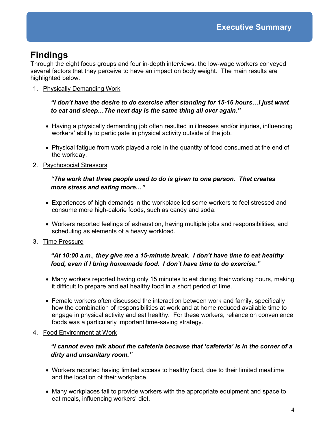# **Findings**

Through the eight focus groups and four in-depth interviews, the low-wage workers conveyed several factors that they perceive to have an impact on body weight. The main results are highlighted below:

1. Physically Demanding Work

### *"I don't have the desire to do exercise after standing for 15-16 hours…I just want to eat and sleep…The next day is the same thing all over again."*

- Having a physically demanding job often resulted in illnesses and/or injuries, influencing workers' ability to participate in physical activity outside of the job.
- Physical fatigue from work played a role in the quantity of food consumed at the end of the workday.
- 2. Psychosocial Stressors

### *"The work that three people used to do is given to one person. That creates more stress and eating more…"*

- Experiences of high demands in the workplace led some workers to feel stressed and consume more high-calorie foods, such as candy and soda.
- Workers reported feelings of exhaustion, having multiple jobs and responsibilities, and scheduling as elements of a heavy workload.
- 3. Time Pressure

## *"At 10:00 a.m., they give me a 15-minute break. I don't have time to eat healthy food, even if I bring homemade food. I don't have time to do exercise."*

- Many workers reported having only 15 minutes to eat during their working hours, making it difficult to prepare and eat healthy food in a short period of time.
- Female workers often discussed the interaction between work and family, specifically how the combination of responsibilities at work and at home reduced available time to engage in physical activity and eat healthy. For these workers, reliance on convenience foods was a particularly important time-saving strategy.
- 4. Food Environment at Work

## *"I cannot even talk about the cafeteria because that 'cafeteria' is in the corner of a dirty and unsanitary room."*

- Workers reported having limited access to healthy food, due to their limited mealtime and the location of their workplace.
- Many workplaces fail to provide workers with the appropriate equipment and space to eat meals, influencing workers' diet.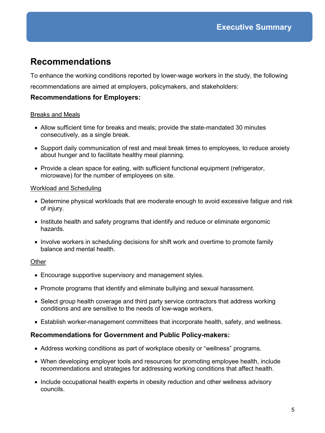# **Recommendations**

To enhance the working conditions reported by lower-wage workers in the study, the following recommendations are aimed at employers, policymakers, and stakeholders:

#### **Recommendations for Employers:**

#### Breaks and Meals

- Allow sufficient time for breaks and meals; provide the state-mandated 30 minutes consecutively, as a single break.
- Support daily communication of rest and meal break times to employees, to reduce anxiety about hunger and to facilitate healthy meal planning.
- Provide a clean space for eating, with sufficient functional equipment (refrigerator, microwave) for the number of employees on site.

#### Workload and Scheduling

- Determine physical workloads that are moderate enough to avoid excessive fatigue and risk of injury.
- Institute health and safety programs that identify and reduce or eliminate ergonomic hazards.
- Involve workers in scheduling decisions for shift work and overtime to promote family balance and mental health

#### **Other**

- Encourage supportive supervisory and management styles.
- Promote programs that identify and eliminate bullying and sexual harassment.
- Select group health coverage and third party service contractors that address working conditions and are sensitive to the needs of low-wage workers.
- Establish worker-management committees that incorporate health, safety, and wellness.

#### **Recommendations for Government and Public Policy-makers:**

- Address working conditions as part of workplace obesity or "wellness" programs.
- When developing employer tools and resources for promoting employee health, include recommendations and strategies for addressing working conditions that affect health.
- Include occupational health experts in obesity reduction and other wellness advisory councils.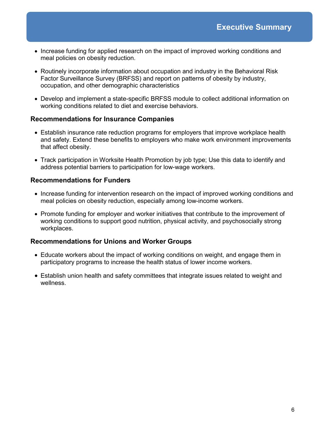- Increase funding for applied research on the impact of improved working conditions and meal policies on obesity reduction.
- Routinely incorporate information about occupation and industry in the Behavioral Risk Factor Surveillance Survey (BRFSS) and report on patterns of obesity by industry, occupation, and other demographic characteristics
- Develop and implement a state-specific BRFSS module to collect additional information on working conditions related to diet and exercise behaviors.

#### **Recommendations for Insurance Companies**

- Establish insurance rate reduction programs for employers that improve workplace health and safety. Extend these benefits to employers who make work environment improvements that affect obesity.
- Track participation in Worksite Health Promotion by job type; Use this data to identify and address potential barriers to participation for low-wage workers.

## **Recommendations for Funders**

- Increase funding for intervention research on the impact of improved working conditions and meal policies on obesity reduction, especially among low-income workers.
- Promote funding for employer and worker initiatives that contribute to the improvement of working conditions to support good nutrition, physical activity, and psychosocially strong workplaces.

### **Recommendations for Unions and Worker Groups**

- Educate workers about the impact of working conditions on weight, and engage them in participatory programs to increase the health status of lower income workers.
- Establish union health and safety committees that integrate issues related to weight and wellness.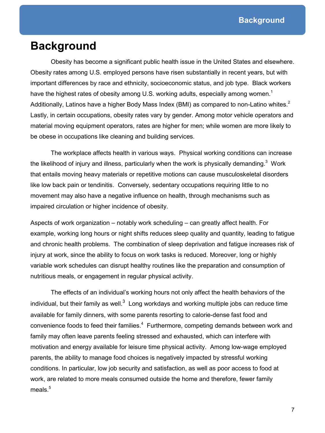# **Background**

Obesity has become a significant public health issue in the United States and elsewhere. Obesity rates among U.S. employed persons have risen substantially in recent years, but with important differences by race and ethnicity, socioeconomic status, and job type. Black workers have the highest rates of obesity among U.S. working adults, especially among women.<sup>1</sup> Additionally, Latinos have a higher Body Mass Index (BMI) as compared to non-Latino whites.<sup>2</sup> Lastly, in certain occupations, obesity rates vary by gender. Among motor vehicle operators and material moving equipment operators, rates are higher for men; while women are more likely to be obese in occupations like cleaning and building services.

The workplace affects health in various ways. Physical working conditions can increase the likelihood of injury and illness, particularly when the work is physically demanding. $3$  Work that entails moving heavy materials or repetitive motions can cause musculoskeletal disorders like low back pain or tendinitis. Conversely, sedentary occupations requiring little to no movement may also have a negative influence on health, through mechanisms such as impaired circulation or higher incidence of obesity.

Aspects of work organization – notably work scheduling – can greatly affect health. For example, working long hours or night shifts reduces sleep quality and quantity, leading to fatigue and chronic health problems. The combination of sleep deprivation and fatigue increases risk of injury at work, since the ability to focus on work tasks is reduced. Moreover, long or highly variable work schedules can disrupt healthy routines like the preparation and consumption of nutritious meals, or engagement in regular physical activity.

The effects of an individual's working hours not only affect the health behaviors of the individual, but their family as well. $^3\,$  Long workdays and working multiple jobs can reduce time available for family dinners, with some parents resorting to calorie-dense fast food and convenience foods to feed their families.<sup>4</sup> Furthermore, competing demands between work and family may often leave parents feeling stressed and exhausted, which can interfere with motivation and energy available for leisure time physical activity. Among low-wage employed parents, the ability to manage food choices is negatively impacted by stressful working conditions. In particular, low job security and satisfaction, as well as poor access to food at work, are related to more meals consumed outside the home and therefore, fewer family meals. $5$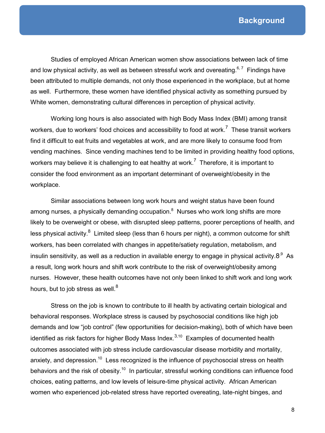Studies of employed African American women show associations between lack of time and low physical activity, as well as between stressful work and overeating. $^{6,7}$  Findings have been attributed to multiple demands, not only those experienced in the workplace, but at home as well. Furthermore, these women have identified physical activity as something pursued by White women, demonstrating cultural differences in perception of physical activity.

Working long hours is also associated with high Body Mass Index (BMI) among transit workers, due to workers' food choices and accessibility to food at work.<sup>7</sup> These transit workers find it difficult to eat fruits and vegetables at work, and are more likely to consume food from vending machines. Since vending machines tend to be limited in providing healthy food options, workers may believe it is challenging to eat healthy at work.<sup>7</sup> Therefore, it is important to consider the food environment as an important determinant of overweight/obesity in the workplace.

Similar associations between long work hours and weight status have been found among nurses, a physically demanding occupation. $^8\,$  Nurses who work long shifts are more likely to be overweight or obese, with disrupted sleep patterns, poorer perceptions of health, and less physical activity.<sup>8</sup> Limited sleep (less than 6 hours per night), a common outcome for shift workers, has been correlated with changes in appetite/satiety regulation, metabolism, and insulin sensitivity, as well as a reduction in available energy to engage in physical activity. $8^{\circ}$  As a result, long work hours and shift work contribute to the risk of overweight/obesity among nurses. However, these health outcomes have not only been linked to shift work and long work hours, but to job stress as well. $8$ 

Stress on the job is known to contribute to ill health by activating certain biological and behavioral responses. Workplace stress is caused by psychosocial conditions like high job demands and low "job control" (few opportunities for decision-making), both of which have been identified as risk factors for higher Body Mass Index. $3,10$  Examples of documented health outcomes associated with job stress include cardiovascular disease morbidity and mortality, anxiety, and depression.<sup>10</sup> Less recognized is the influence of psychosocial stress on health behaviors and the risk of obesity.<sup>10</sup> In particular, stressful working conditions can influence food choices, eating patterns, and low levels of leisure-time physical activity. African American women who experienced job-related stress have reported overeating, late-night binges, and

8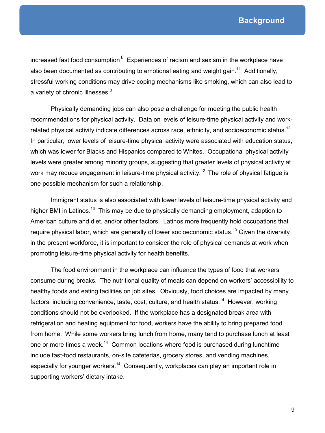increased fast food consumption<sup>.6</sup> Experiences of racism and sexism in the workplace have also been documented as contributing to emotional eating and weight gain.<sup>11</sup> Additionally, stressful working conditions may drive coping mechanisms like smoking, which can also lead to a variety of chronic illnesses. $^3$ 

Physically demanding jobs can also pose a challenge for meeting the public health recommendations for physical activity. Data on levels of leisure-time physical activity and workrelated physical activity indicate differences across race, ethnicity, and socioeconomic status.<sup>12</sup> In particular, lower levels of leisure-time physical activity were associated with education status, which was lower for Blacks and Hispanics compared to Whites. Occupational physical activity levels were greater among minority groups, suggesting that greater levels of physical activity at work may reduce engagement in leisure-time physical activity.<sup>12</sup> The role of physical fatigue is one possible mechanism for such a relationship.

Immigrant status is also associated with lower levels of leisure-time physical activity and higher BMI in Latinos.<sup>13</sup> This may be due to physically demanding employment, adaption to American culture and diet, and/or other factors. Latinos more frequently hold occupations that require physical labor, which are generally of lower socioeconomic status.<sup>13</sup> Given the diversity in the present workforce, it is important to consider the role of physical demands at work when promoting leisure-time physical activity for health benefits.

The food environment in the workplace can influence the types of food that workers consume during breaks. The nutritional quality of meals can depend on workers' accessibility to healthy foods and eating facilities on job sites. Obviously, food choices are impacted by many factors, including convenience, taste, cost, culture, and health status.<sup>14</sup> However, working conditions should not be overlooked. If the workplace has a designated break area with refrigeration and heating equipment for food, workers have the ability to bring prepared food from home. While some workers bring lunch from home, many tend to purchase lunch at least one or more times a week.<sup>14</sup> Common locations where food is purchased during lunchtime include fast-food restaurants, on-site cafeterias, grocery stores, and vending machines, especially for younger workers.<sup>14</sup> Consequently, workplaces can play an important role in supporting workers' dietary intake.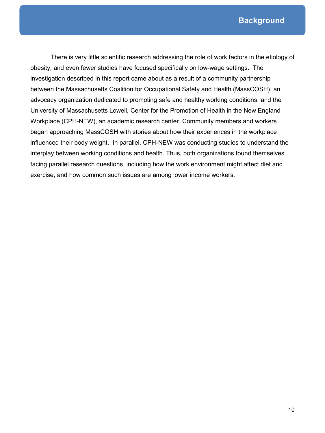**Background**

There is very little scientific research addressing the role of work factors in the etiology of obesity, and even fewer studies have focused specifically on low-wage settings. The investigation described in this report came about as a result of a community partnership between the Massachusetts Coalition for Occupational Safety and Health (MassCOSH), an advocacy organization dedicated to promoting safe and healthy working conditions, and the University of Massachusetts Lowell, Center for the Promotion of Health in the New England Workplace (CPH-NEW), an academic research center. Community members and workers began approaching MassCOSH with stories about how their experiences in the workplace influenced their body weight. In parallel, CPH-NEW was conducting studies to understand the interplay between working conditions and health. Thus, both organizations found themselves facing parallel research questions, including how the work environment might affect diet and exercise, and how common such issues are among lower income workers.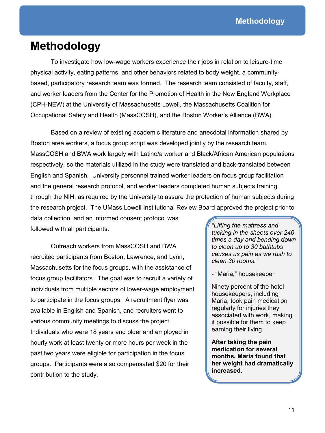# **Methodology**

To investigate how low-wage workers experience their jobs in relation to leisure-time physical activity, eating patterns, and other behaviors related to body weight, a communitybased, participatory research team was formed. The research team consisted of faculty, staff, and worker leaders from the Center for the Promotion of Health in the New England Workplace (CPH-NEW) at the University of Massachusetts Lowell, the Massachusetts Coalition for Occupational Safety and Health (MassCOSH), and the Boston Worker's Alliance (BWA).

Based on a review of existing academic literature and anecdotal information shared by Boston area workers, a focus group script was developed jointly by the research team. MassCOSH and BWA work largely with Latino/a worker and Black/African American populations respectively, so the materials utilized in the study were translated and back-translated between English and Spanish. University personnel trained worker leaders on focus group facilitation and the general research protocol, and worker leaders completed human subjects training through the NIH, as required by the University to assure the protection of human subjects during the research project. The UMass Lowell Institutional Review Board approved the project prior to

data collection, and an informed consent protocol was followed with all participants.

Outreach workers from MassCOSH and BWA recruited participants from Boston, Lawrence, and Lynn, Massachusetts for the focus groups, with the assistance of focus group facilitators. The goal was to recruit a variety of individuals from multiple sectors of lower-wage employment to participate in the focus groups. A recruitment flyer was available in English and Spanish, and recruiters went to various community meetings to discuss the project. Individuals who were 18 years and older and employed in hourly work at least twenty or more hours per week in the past two years were eligible for participation in the focus groups. Participants were also compensated \$20 for their contribution to the study.

*"Lifting the mattress and tucking in the sheets over 240 times a day and bending down to clean up to 30 bathtubs causes us pain as we rush to clean 30 rooms."*

- "Maria," housekeeper

Ninety percent of the hotel housekeepers, including Maria, took pain medication regularly for injuries they associated with work, making it possible for them to keep earning their living.

**After taking the pain medication for several months, Maria found that her weight had dramatically increased.**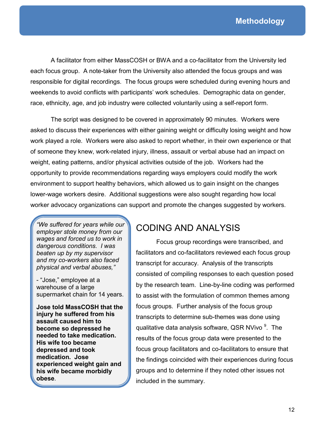A facilitator from either MassCOSH or BWA and a co-facilitator from the University led each focus group. A note-taker from the University also attended the focus groups and was responsible for digital recordings. The focus groups were scheduled during evening hours and weekends to avoid conflicts with participants' work schedules. Demographic data on gender, race, ethnicity, age, and job industry were collected voluntarily using a self-report form.

The script was designed to be covered in approximately 90 minutes. Workers were asked to discuss their experiences with either gaining weight or difficulty losing weight and how work played a role. Workers were also asked to report whether, in their own experience or that of someone they knew, work-related injury, illness, assault or verbal abuse had an impact on weight, eating patterns, and/or physical activities outside of the job. Workers had the opportunity to provide recommendations regarding ways employers could modify the work environment to support healthy behaviors, which allowed us to gain insight on the changes lower-wage workers desire. Additional suggestions were also sought regarding how local worker advocacy organizations can support and promote the changes suggested by workers.

*"We suffered for years while our employer stole money from our wages and forced us to work in dangerous conditions. I was beaten up by my supervisor and my co-workers also faced physical and verbal abuses,"*

- "Jose," employee at a warehouse of a large supermarket chain for 14 years.

**Jose told MassCOSH that the injury he suffered from his assault caused him to become so depressed he needed to take medication. His wife too became depressed and took medication. Jose experienced weight gain and his wife became morbidly obese**.

# CODING AND ANALYSIS

Focus group recordings were transcribed, and facilitators and co-facilitators reviewed each focus group transcript for accuracy. Analysis of the transcripts consisted of compiling responses to each question posed by the research team. Line-by-line coding was performed to assist with the formulation of common themes among focus groups. Further analysis of the focus group transcripts to determine sub-themes was done using qualitative data analysis software, QSR NVivo <sup>9</sup>. The results of the focus group data were presented to the focus group facilitators and co-facilitators to ensure that the findings coincided with their experiences during focus groups and to determine if they noted other issues not included in the summary.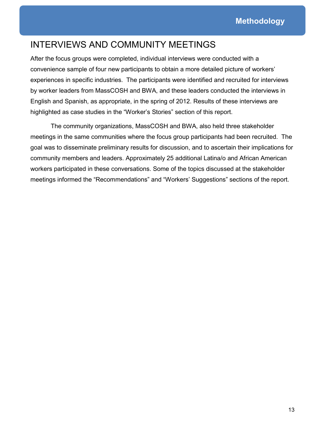# INTERVIEWS AND COMMUNITY MEETINGS

After the focus groups were completed, individual interviews were conducted with a convenience sample of four new participants to obtain a more detailed picture of workers' experiences in specific industries. The participants were identified and recruited for interviews by worker leaders from MassCOSH and BWA, and these leaders conducted the interviews in English and Spanish, as appropriate, in the spring of 2012. Results of these interviews are highlighted as case studies in the "Worker's Stories" section of this report.

The community organizations, MassCOSH and BWA, also held three stakeholder meetings in the same communities where the focus group participants had been recruited. The goal was to disseminate preliminary results for discussion, and to ascertain their implications for community members and leaders. Approximately 25 additional Latina/o and African American workers participated in these conversations. Some of the topics discussed at the stakeholder meetings informed the "Recommendations" and "Workers' Suggestions" sections of the report.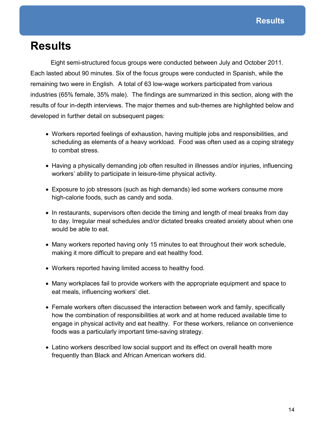# **Results**

Eight semi-structured focus groups were conducted between July and October 2011. Each lasted about 90 minutes. Six of the focus groups were conducted in Spanish, while the remaining two were in English. A total of 63 low-wage workers participated from various industries (65% female, 35% male). The findings are summarized in this section, along with the results of four in-depth interviews. The major themes and sub-themes are highlighted below and developed in further detail on subsequent pages:

- Workers reported feelings of exhaustion, having multiple jobs and responsibilities, and scheduling as elements of a heavy workload. Food was often used as a coping strategy to combat stress.
- Having a physically demanding job often resulted in illnesses and/or injuries, influencing workers' ability to participate in leisure-time physical activity.
- Exposure to job stressors (such as high demands) led some workers consume more high-calorie foods, such as candy and soda.
- In restaurants, supervisors often decide the timing and length of meal breaks from day to day. Irregular meal schedules and/or dictated breaks created anxiety about when one would be able to eat.
- Many workers reported having only 15 minutes to eat throughout their work schedule, making it more difficult to prepare and eat healthy food.
- Workers reported having limited access to healthy food.
- Many workplaces fail to provide workers with the appropriate equipment and space to eat meals, influencing workers' diet.
- Female workers often discussed the interaction between work and family, specifically how the combination of responsibilities at work and at home reduced available time to engage in physical activity and eat healthy. For these workers, reliance on convenience foods was a particularly important time-saving strategy.
- Latino workers described low social support and its effect on overall health more frequently than Black and African American workers did.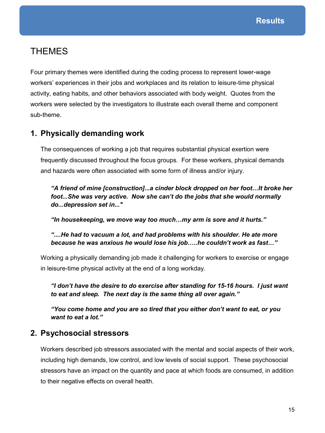# **THEMES**

Four primary themes were identified during the coding process to represent lower-wage workers' experiences in their jobs and workplaces and its relation to leisure-time physical activity, eating habits, and other behaviors associated with body weight. Quotes from the workers were selected by the investigators to illustrate each overall theme and component sub-theme.

# **1. Physically demanding work**

The consequences of working a job that requires substantial physical exertion were frequently discussed throughout the focus groups. For these workers, physical demands and hazards were often associated with some form of illness and/or injury.

*"A friend of mine [construction]...a cinder block dropped on her foot…It broke her foot...She was very active. Now she can't do the jobs that she would normally do...depression set in..."*

*"In housekeeping, we move way too much…my arm is sore and it hurts."*

*"....He had to vacuum a lot, and had problems with his shoulder. He ate more because he was anxious he would lose his job…..he couldn't work as fast…"*

Working a physically demanding job made it challenging for workers to exercise or engage in leisure-time physical activity at the end of a long workday.

*"I don't have the desire to do exercise after standing for 15-16 hours. I just want to eat and sleep. The next day is the same thing all over again."*

*"You come home and you are so tired that you either don't want to eat, or you want to eat a lot."*

# **2. Psychosocial stressors**

Workers described job stressors associated with the mental and social aspects of their work, including high demands, low control, and low levels of social support. These psychosocial stressors have an impact on the quantity and pace at which foods are consumed, in addition to their negative effects on overall health.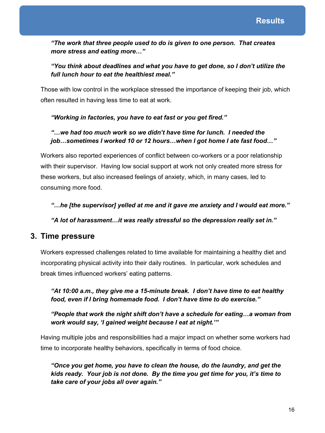*"The work that three people used to do is given to one person. That creates more stress and eating more…"*

# *"You think about deadlines and what you have to get done, so I don't utilize the full lunch hour to eat the healthiest meal."*

Those with low control in the workplace stressed the importance of keeping their job, which often resulted in having less time to eat at work.

# *"Working in factories, you have to eat fast or you get fired."*

## *"…we had too much work so we didn't have time for lunch. I needed the job…sometimes I worked 10 or 12 hours…when I got home I ate fast food…"*

Workers also reported experiences of conflict between co-workers or a poor relationship with their supervisor. Having low social support at work not only created more stress for these workers, but also increased feelings of anxiety, which, in many cases, led to consuming more food.

*"…he [the supervisor] yelled at me and it gave me anxiety and I would eat more."*

*"A lot of harassment…it was really stressful so the depression really set in."*

# **3. Time pressure**

Workers expressed challenges related to time available for maintaining a healthy diet and incorporating physical activity into their daily routines. In particular, work schedules and break times influenced workers' eating patterns.

*"At 10:00 a.m., they give me a 15-minute break. I don't have time to eat healthy food, even if I bring homemade food. I don't have time to do exercise."*

*"People that work the night shift don't have a schedule for eating…a woman from work would say, 'I gained weight because I eat at night.'"*

Having multiple jobs and responsibilities had a major impact on whether some workers had time to incorporate healthy behaviors, specifically in terms of food choice.

*"Once you get home, you have to clean the house, do the laundry, and get the kids ready. Your job is not done. By the time you get time for you, it's time to take care of your jobs all over again."*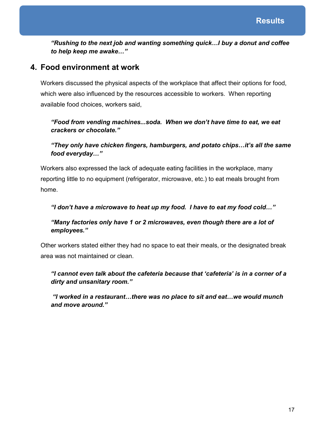*"Rushing to the next job and wanting something quick…I buy a donut and coffee to help keep me awake…"*

# **4. Food environment at work**

Workers discussed the physical aspects of the workplace that affect their options for food, which were also influenced by the resources accessible to workers. When reporting available food choices, workers said,

# *"Food from vending machines...soda. When we don't have time to eat, we eat crackers or chocolate."*

# *"They only have chicken fingers, hamburgers, and potato chips…it's all the same food everyday…"*

Workers also expressed the lack of adequate eating facilities in the workplace, many reporting little to no equipment (refrigerator, microwave, etc.) to eat meals brought from home.

## *"I don't have a microwave to heat up my food. I have to eat my food cold…"*

## *"Many factories only have 1 or 2 microwaves, even though there are a lot of employees."*

Other workers stated either they had no space to eat their meals, or the designated break area was not maintained or clean.

# *"I cannot even talk about the cafeteria because that 'cafeteria' is in a corner of a dirty and unsanitary room."*

 *"I worked in a restaurant…there was no place to sit and eat…we would munch and move around."*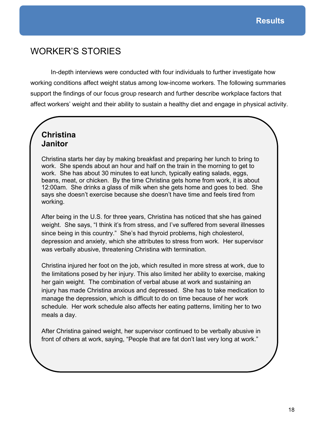# WORKER'S STORIES

In-depth interviews were conducted with four individuals to further investigate how working conditions affect weight status among low-income workers. The following summaries support the findings of our focus group research and further describe workplace factors that affect workers' weight and their ability to sustain a healthy diet and engage in physical activity.

# **Christina Janitor**

Christina starts her day by making breakfast and preparing her lunch to bring to work. She spends about an hour and half on the train in the morning to get to work. She has about 30 minutes to eat lunch, typically eating salads, eggs, beans, meat, or chicken. By the time Christina gets home from work, it is about 12:00am. She drinks a glass of milk when she gets home and goes to bed. She says she doesn't exercise because she doesn't have time and feels tired from working.

After being in the U.S. for three years, Christina has noticed that she has gained weight. She says, "I think it's from stress, and I've suffered from several illnesses since being in this country." She's had thyroid problems, high cholesterol, depression and anxiety, which she attributes to stress from work. Her supervisor was verbally abusive, threatening Christina with termination.

Christina injured her foot on the job, which resulted in more stress at work, due to the limitations posed by her injury. This also limited her ability to exercise, making her gain weight. The combination of verbal abuse at work and sustaining an injury has made Christina anxious and depressed. She has to take medication to manage the depression, which is difficult to do on time because of her work schedule. Her work schedule also affects her eating patterns, limiting her to two meals a day.

After Christina gained weight, her supervisor continued to be verbally abusive in front of others at work, saying, "People that are fat don't last very long at work."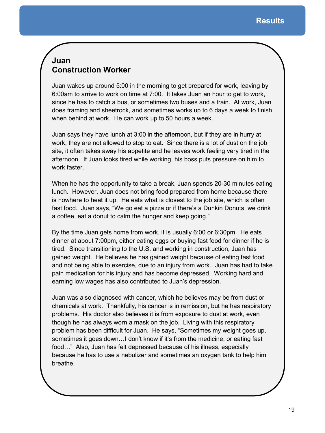# **Juan Construction Worker**

Juan wakes up around 5:00 in the morning to get prepared for work, leaving by 6:00am to arrive to work on time at 7:00. It takes Juan an hour to get to work, since he has to catch a bus, or sometimes two buses and a train. At work, Juan does framing and sheetrock, and sometimes works up to 6 days a week to finish when behind at work. He can work up to 50 hours a week.

Juan says they have lunch at 3:00 in the afternoon, but if they are in hurry at work, they are not allowed to stop to eat. Since there is a lot of dust on the job site, it often takes away his appetite and he leaves work feeling very tired in the afternoon. If Juan looks tired while working, his boss puts pressure on him to work faster.

When he has the opportunity to take a break, Juan spends 20-30 minutes eating lunch. However, Juan does not bring food prepared from home because there is nowhere to heat it up. He eats what is closest to the job site, which is often fast food. Juan says, "We go eat a pizza or if there's a Dunkin Donuts, we drink a coffee, eat a donut to calm the hunger and keep going."

By the time Juan gets home from work, it is usually 6:00 or 6:30pm. He eats dinner at about 7:00pm, either eating eggs or buying fast food for dinner if he is tired. Since transitioning to the U.S. and working in construction, Juan has gained weight. He believes he has gained weight because of eating fast food and not being able to exercise, due to an injury from work. Juan has had to take pain medication for his injury and has become depressed. Working hard and earning low wages has also contributed to Juan's depression.

Juan was also diagnosed with cancer, which he believes may be from dust or chemicals at work. Thankfully, his cancer is in remission, but he has respiratory problems. His doctor also believes it is from exposure to dust at work, even though he has always worn a mask on the job. Living with this respiratory problem has been difficult for Juan. He says, "Sometimes my weight goes up, sometimes it goes down…I don't know if it's from the medicine, or eating fast food…" Also, Juan has felt depressed because of his illness, especially because he has to use a nebulizer and sometimes an oxygen tank to help him breathe.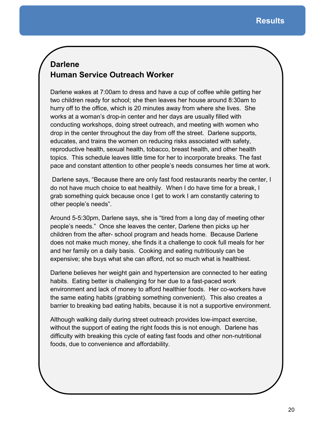# **Darlene Human Service Outreach Worker**

Darlene wakes at 7:00am to dress and have a cup of coffee while getting her two children ready for school; she then leaves her house around 8:30am to hurry off to the office, which is 20 minutes away from where she lives. She works at a woman's drop-in center and her days are usually filled with conducting workshops, doing street outreach, and meeting with women who drop in the center throughout the day from off the street. Darlene supports, educates, and trains the women on reducing risks associated with safety, reproductive health, sexual health, tobacco, breast health, and other health topics. This schedule leaves little time for her to incorporate breaks. The fast pace and constant attention to other people's needs consumes her time at work.

 Darlene says, "Because there are only fast food restaurants nearby the center, I do not have much choice to eat healthily. When I do have time for a break, I grab something quick because once I get to work I am constantly catering to other people's needs".

Around 5-5:30pm, Darlene says, she is "tired from a long day of meeting other people's needs." Once she leaves the center, Darlene then picks up her children from the after- school program and heads home. Because Darlene does not make much money, she finds it a challenge to cook full meals for her and her family on a daily basis. Cooking and eating nutritiously can be expensive; she buys what she can afford, not so much what is healthiest.

Darlene believes her weight gain and hypertension are connected to her eating habits. Eating better is challenging for her due to a fast-paced work environment and lack of money to afford healthier foods. Her co-workers have the same eating habits (grabbing something convenient). This also creates a barrier to breaking bad eating habits, because it is not a supportive environment.

Although walking daily during street outreach provides low-impact exercise, without the support of eating the right foods this is not enough. Darlene has difficulty with breaking this cycle of eating fast foods and other non-nutritional foods, due to convenience and affordability.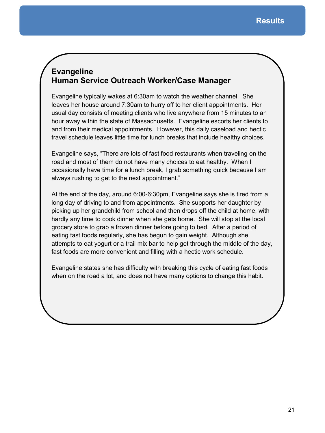# **Evangeline Human Service Outreach Worker/Case Manager**

Evangeline typically wakes at 6:30am to watch the weather channel. She leaves her house around 7:30am to hurry off to her client appointments. Her usual day consists of meeting clients who live anywhere from 15 minutes to an hour away within the state of Massachusetts. Evangeline escorts her clients to and from their medical appointments. However, this daily caseload and hectic travel schedule leaves little time for lunch breaks that include healthy choices.

Evangeline says, "There are lots of fast food restaurants when traveling on the road and most of them do not have many choices to eat healthy. When I occasionally have time for a lunch break, I grab something quick because I am always rushing to get to the next appointment."

At the end of the day, around 6:00-6:30pm, Evangeline says she is tired from a long day of driving to and from appointments. She supports her daughter by picking up her grandchild from school and then drops off the child at home, with hardly any time to cook dinner when she gets home. She will stop at the local grocery store to grab a frozen dinner before going to bed. After a period of eating fast foods regularly, she has begun to gain weight. Although she attempts to eat yogurt or a trail mix bar to help get through the middle of the day, fast foods are more convenient and filling with a hectic work schedule.

Evangeline states she has difficulty with breaking this cycle of eating fast foods when on the road a lot, and does not have many options to change this habit.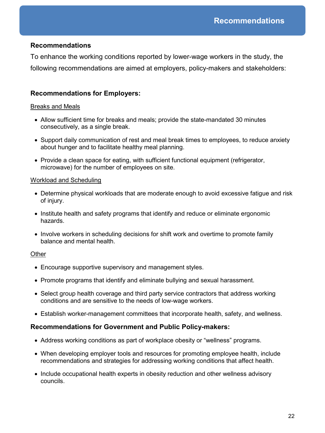## **Recommendations**

To enhance the working conditions reported by lower-wage workers in the study, the following recommendations are aimed at employers, policy-makers and stakeholders:

### **Recommendations for Employers:**

#### Breaks and Meals

- Allow sufficient time for breaks and meals; provide the state-mandated 30 minutes consecutively, as a single break.
- Support daily communication of rest and meal break times to employees, to reduce anxiety about hunger and to facilitate healthy meal planning.
- Provide a clean space for eating, with sufficient functional equipment (refrigerator, microwave) for the number of employees on site.

#### Workload and Scheduling

- Determine physical workloads that are moderate enough to avoid excessive fatigue and risk of injury.
- Institute health and safety programs that identify and reduce or eliminate ergonomic hazards.
- Involve workers in scheduling decisions for shift work and overtime to promote family balance and mental health.

#### **Other**

- Encourage supportive supervisory and management styles.
- Promote programs that identify and eliminate bullying and sexual harassment.
- Select group health coverage and third party service contractors that address working conditions and are sensitive to the needs of low-wage workers.
- Establish worker-management committees that incorporate health, safety, and wellness.

### **Recommendations for Government and Public Policy-makers:**

- Address working conditions as part of workplace obesity or "wellness" programs.
- When developing employer tools and resources for promoting employee health, include recommendations and strategies for addressing working conditions that affect health.
- Include occupational health experts in obesity reduction and other wellness advisory councils.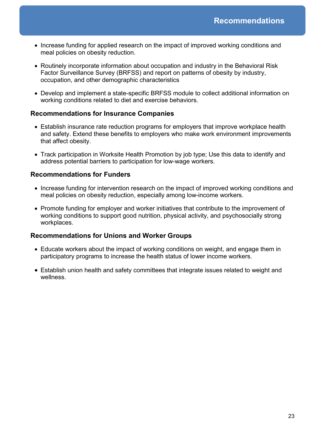- Increase funding for applied research on the impact of improved working conditions and meal policies on obesity reduction.
- Routinely incorporate information about occupation and industry in the Behavioral Risk Factor Surveillance Survey (BRFSS) and report on patterns of obesity by industry, occupation, and other demographic characteristics
- Develop and implement a state-specific BRFSS module to collect additional information on working conditions related to diet and exercise behaviors.

### **Recommendations for Insurance Companies**

- Establish insurance rate reduction programs for employers that improve workplace health and safety. Extend these benefits to employers who make work environment improvements that affect obesity.
- Track participation in Worksite Health Promotion by job type; Use this data to identify and address potential barriers to participation for low-wage workers.

### **Recommendations for Funders**

- Increase funding for intervention research on the impact of improved working conditions and meal policies on obesity reduction, especially among low-income workers.
- Promote funding for employer and worker initiatives that contribute to the improvement of working conditions to support good nutrition, physical activity, and psychosocially strong workplaces.

### **Recommendations for Unions and Worker Groups**

- Educate workers about the impact of working conditions on weight, and engage them in participatory programs to increase the health status of lower income workers.
- Establish union health and safety committees that integrate issues related to weight and wellness.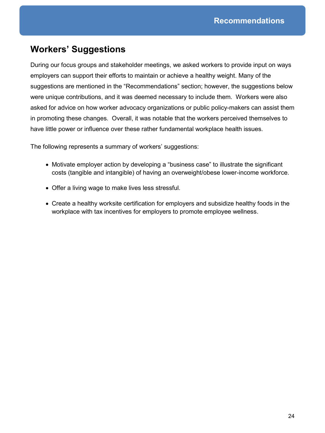# **Workers' Suggestions**

During our focus groups and stakeholder meetings, we asked workers to provide input on ways employers can support their efforts to maintain or achieve a healthy weight. Many of the suggestions are mentioned in the "Recommendations" section; however, the suggestions below were unique contributions, and it was deemed necessary to include them. Workers were also asked for advice on how worker advocacy organizations or public policy-makers can assist them in promoting these changes. Overall, it was notable that the workers perceived themselves to have little power or influence over these rather fundamental workplace health issues.

The following represents a summary of workers' suggestions:

- Motivate employer action by developing a "business case" to illustrate the significant costs (tangible and intangible) of having an overweight/obese lower-income workforce.
- Offer a living wage to make lives less stressful.
- Create a healthy worksite certification for employers and subsidize healthy foods in the workplace with tax incentives for employers to promote employee wellness.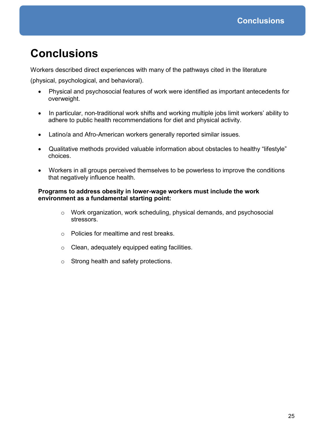# **Conclusions**

Workers described direct experiences with many of the pathways cited in the literature

(physical, psychological, and behavioral).

- Physical and psychosocial features of work were identified as important antecedents for overweight.
- In particular, non-traditional work shifts and working multiple jobs limit workers' ability to adhere to public health recommendations for diet and physical activity.
- Latino/a and Afro-American workers generally reported similar issues.
- Qualitative methods provided valuable information about obstacles to healthy "lifestyle" choices.
- Workers in all groups perceived themselves to be powerless to improve the conditions that negatively influence health.

#### **Programs to address obesity in lower-wage workers must include the work environment as a fundamental starting point:**

- $\circ$  Work organization, work scheduling, physical demands, and psychosocial stressors.
- o Policies for mealtime and rest breaks.
- o Clean, adequately equipped eating facilities.
- o Strong health and safety protections.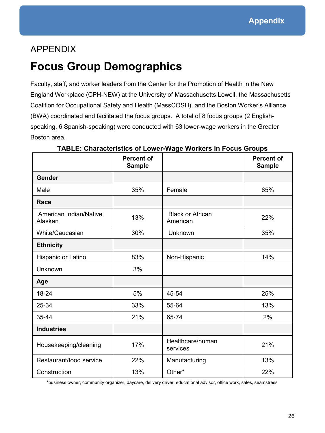# APPENDIX

# **Focus Group Demographics**

Faculty, staff, and worker leaders from the Center for the Promotion of Health in the New England Workplace (CPH-NEW) at the University of Massachusetts Lowell, the Massachusetts Coalition for Occupational Safety and Health (MassCOSH), and the Boston Worker's Alliance (BWA) coordinated and facilitated the focus groups. A total of 8 focus groups (2 Englishspeaking, 6 Spanish-speaking) were conducted with 63 lower-wage workers in the Greater Boston area.

|                                   | <b>Percent of</b><br><b>Sample</b> |                                     | <b>Percent of</b><br><b>Sample</b> |
|-----------------------------------|------------------------------------|-------------------------------------|------------------------------------|
| Gender                            |                                    |                                     |                                    |
| Male                              | 35%                                | Female                              | 65%                                |
| Race                              |                                    |                                     |                                    |
| American Indian/Native<br>Alaskan | 13%                                | <b>Black or African</b><br>American | 22%                                |
| White/Caucasian                   | 30%                                | Unknown                             | 35%                                |
| <b>Ethnicity</b>                  |                                    |                                     |                                    |
| Hispanic or Latino                | 83%                                | Non-Hispanic                        | 14%                                |
| Unknown                           | 3%                                 |                                     |                                    |
| Age                               |                                    |                                     |                                    |
| $18 - 24$                         | 5%                                 | 45-54                               | 25%                                |
| 25-34                             | 33%                                | 55-64                               | 13%                                |
| 35-44                             | 21%                                | 65-74                               | 2%                                 |
| <b>Industries</b>                 |                                    |                                     |                                    |
| Housekeeping/cleaning             | 17%                                | Healthcare/human<br>services        | 21%                                |
| Restaurant/food service           | 22%                                | Manufacturing                       | 13%                                |
| Construction                      | 13%                                | Other*                              | 22%                                |

**TABLE: Characteristics of Lower-Wage Workers in Focus Groups**

\*business owner, community organizer, daycare, delivery driver, educational advisor, office work, sales, seamstress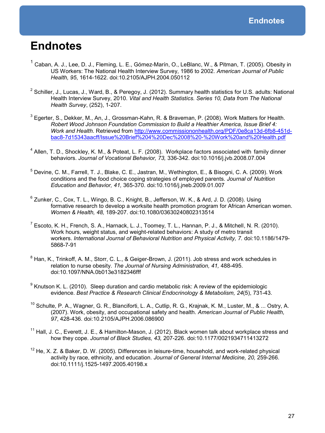# **Endnotes**

- <sup>1</sup> Caban, A. J., Lee, D. J., Fleming, L. E., Gómez-Marín, O., LeBlanc, W., & Pitman, T. (2005). Obesity in US Workers: The National Health Interview Survey, 1986 to 2002. *American Journal of Public Health, 95*, 1614-1622. doi:10.2105/AJPH.2004.050112
- $^2$  Schiller, J., Lucas, J., Ward, B., & Peregoy, J. (2012). Summary health statistics for U.S. adults: National Health Interview Survey, 2010. *Vital and Health Statistics. Series 10, Data from The National Health Survey*, (252), 1-207.
- $^3$  Egerter, S., Dekker, M., An, J., Grossman-Kahn, R. & Braveman, P. (2008). Work Matters for Health. *Robert Wood Johnson Foundation Commission to Build a Healthier America, Issue Brief 4: Work and Health*. Retrieved from http://www.commissiononhealth.org/PDF/0e8ca13d-6fb8-451dbac8-7d15343aacff/Issue%20Brief%204%20Dec%2008%20-%20Work%20and%20Health.pdf
- <sup>4</sup> Allen, T. D., Shockley, K. M., & Poteat, L. F. (2008). Workplace factors associated with family dinner behaviors. *Journal of Vocational Behavior, 73,* 336-342. doi:10.1016/j.jvb.2008.07.004
- <sup>5</sup> Devine, C. M., Farrell, T. J., Blake, C. E., Jastran, M., Wethington, E., & Bisogni, C. A. (2009). Work conditions and the food choice coping strategies of employed parents. *Journal of Nutrition Education and Behavior, 41,* 365-370. doi:10.1016/j.jneb.2009.01.007
- $^6$  Zunker, C., Cox, T. L., Wingo, B. C., Knight, B., Jefferson, W. K., & Ard, J. D. (2008). Using formative research to develop a worksite health promotion program for African American women. *Women & Health, 48,* 189-207. doi:10.1080/03630240802313514
- <sup>7</sup> Escoto, K. H., French, S. A., Harnack, L. J., Toomey, T. L., Hannan, P. J., & Mitchell, N. R. (2010). Work hours, weight status, and weight-related behaviors: A study of metro transit workers. *International Journal of Behavioral Nutrition and Physical Activity, 7.* doi:10.1186/1479- 5868-7-91
- $8$  Han, K., Trinkoff, A. M., Storr, C. L., & Geiger-Brown, J. (2011). Job stress and work schedules in relation to nurse obesity. *The Journal of Nursing Administration, 41,* 488-495. doi:10.1097/NNA.0b013e3182346fff
- <sup>9</sup> Knutson K. L. (2010). Sleep duration and cardio metabolic risk: A review of the epidemiologic evidence. *Best Practice & Research Clinical Endocrinology & Metabolism, 24*(5), 731-43.
- <sup>10</sup> Schulte, P. A., Wagner, G. R., Blanciforti, L. A., Cutlip, R. G., Krajnak, K. M., Luster, M., & ... Ostry, A. (2007). Work, obesity, and occupational safety and health. *American Journal of Public Health, 97*, 428-436. doi:10.2105/AJPH.2006.086900
- $11$  Hall, J. C., Everett, J. E., & Hamilton-Mason, J. (2012). Black women talk about workplace stress and how they cope. *Journal of Black Studies, 43,* 207-226. doi:10.1177/0021934711413272
- $12$  He, X. Z. & Baker, D. W. (2005). Differences in leisure-time, household, and work-related physical activity by race, ethnicity, and education. *Journal of General Internal Medicine, 20,* 259-266. doi:10.1111/j.1525-1497.2005.40198.x